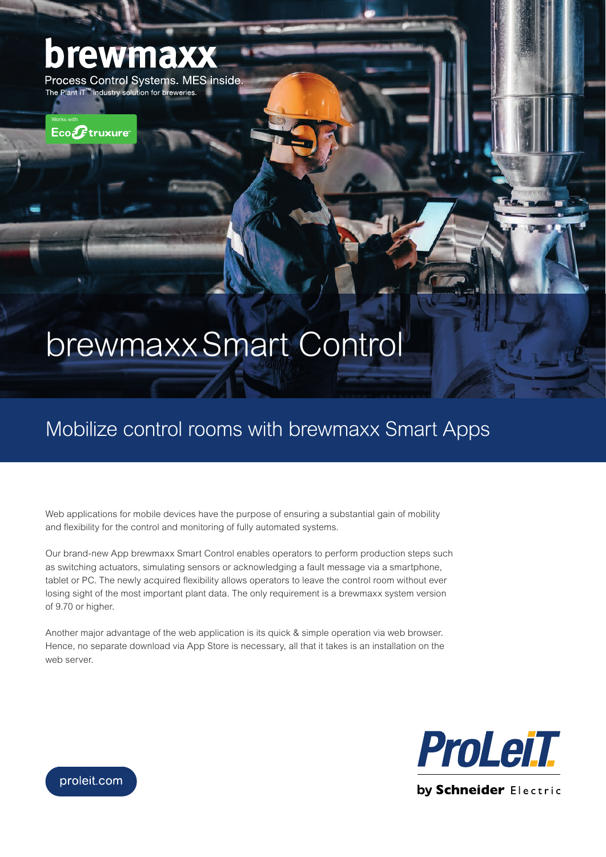## brewm

Process Control Systems. MES inside. The Plant iT<sup>™</sup> industry solution for breweries.

Works with

# brewmaxx Smart Control

### Mobilize control rooms with brewmaxx Smart Apps

Web applications for mobile devices have the purpose of ensuring a substantial gain of mobility and flexibility for the control and monitoring of fully automated systems.

Our brand-new App brewmaxx Smart Control enables operators to perform production steps such as switching actuators, simulating sensors or acknowledging a fault message via a smartphone, tablet or PC. The newly acquired flexibility allows operators to leave the control room without ever losing sight of the most important plant data. The only requirement is a brewmaxx system version of 9.70 or higher.

Another major advantage of the web application is its quick & simple operation via web browser. Hence, no separate download via App Store is necessary, all that it takes is an installation on the web server.



proleit.com